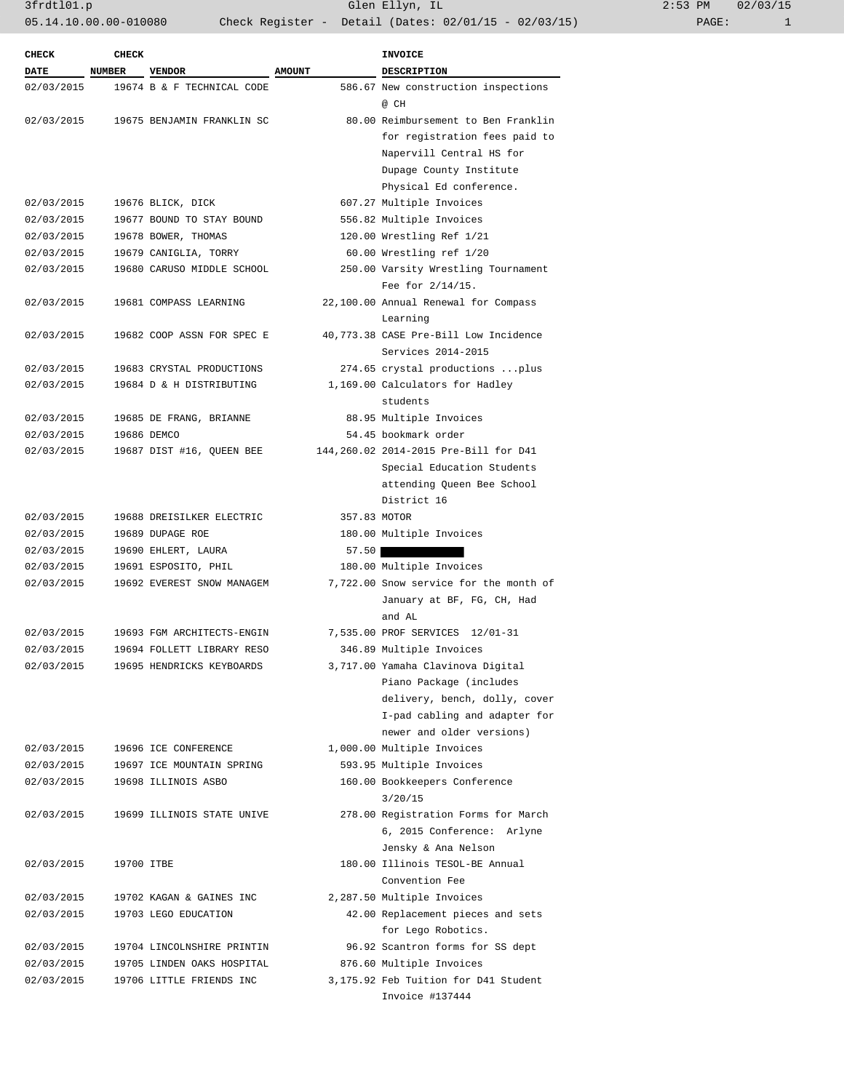3frdtl01.p Glen Ellyn, IL 2:53 PM 02/03/15/15/15/15/15/15/15/15/15/15/15/15 05.14.10.00.00-010080 Check Register - Detail (Dates: 02/01/15 - 02/03/15)

| $2:53$ PM |       | 02/03/15 |
|-----------|-------|----------|
|           | PAGE: |          |

| <b>CHECK</b> | <b>CHECK</b>  |                            |                          | <b>INVOICE</b>                         |  |
|--------------|---------------|----------------------------|--------------------------|----------------------------------------|--|
| <b>DATE</b>  | <b>NUMBER</b> | <b>VENDOR</b>              | <b>AMOUNT</b>            | <b>DESCRIPTION</b>                     |  |
| 02/03/2015   |               | 19674 B & F TECHNICAL CODE |                          | 586.67 New construction inspections    |  |
|              |               |                            |                          | @ CH                                   |  |
| 02/03/2015   |               | 19675 BENJAMIN FRANKLIN SC |                          | 80.00 Reimbursement to Ben Franklin    |  |
|              |               |                            |                          | for registration fees paid to          |  |
|              |               |                            |                          | Napervill Central HS for               |  |
|              |               |                            |                          | Dupage County Institute                |  |
|              |               |                            |                          | Physical Ed conference.                |  |
| 02/03/2015   |               | 19676 BLICK, DICK          | 607.27 Multiple Invoices |                                        |  |
| 02/03/2015   |               | 19677 BOUND TO STAY BOUND  |                          | 556.82 Multiple Invoices               |  |
| 02/03/2015   |               | 19678 BOWER, THOMAS        |                          | 120.00 Wrestling Ref 1/21              |  |
| 02/03/2015   |               | 19679 CANIGLIA, TORRY      |                          | 60.00 Wrestling ref 1/20               |  |
| 02/03/2015   |               | 19680 CARUSO MIDDLE SCHOOL |                          | 250.00 Varsity Wrestling Tournament    |  |
|              |               |                            |                          | Fee for $2/14/15$ .                    |  |
| 02/03/2015   |               | 19681 COMPASS LEARNING     |                          | 22,100.00 Annual Renewal for Compass   |  |
|              |               |                            |                          | Learning                               |  |
| 02/03/2015   |               | 19682 COOP ASSN FOR SPEC E |                          | 40,773.38 CASE Pre-Bill Low Incidence  |  |
|              |               |                            |                          |                                        |  |
|              |               |                            |                          | Services 2014-2015                     |  |
| 02/03/2015   |               | 19683 CRYSTAL PRODUCTIONS  |                          | 274.65 crystal productions  plus       |  |
| 02/03/2015   |               | 19684 D & H DISTRIBUTING   |                          | 1,169.00 Calculators for Hadley        |  |
|              |               |                            |                          | students                               |  |
| 02/03/2015   |               | 19685 DE FRANG, BRIANNE    |                          | 88.95 Multiple Invoices                |  |
| 02/03/2015   |               | 19686 DEMCO                |                          | 54.45 bookmark order                   |  |
| 02/03/2015   |               | 19687 DIST #16, QUEEN BEE  |                          | 144,260.02 2014-2015 Pre-Bill for D41  |  |
|              |               |                            |                          | Special Education Students             |  |
|              |               |                            |                          | attending Queen Bee School             |  |
|              |               |                            |                          | District 16                            |  |
| 02/03/2015   |               | 19688 DREISILKER ELECTRIC  | 357.83 MOTOR             |                                        |  |
| 02/03/2015   |               | 19689 DUPAGE ROE           |                          | 180.00 Multiple Invoices               |  |
| 02/03/2015   |               | 19690 EHLERT, LAURA        | 57.50                    |                                        |  |
| 02/03/2015   |               | 19691 ESPOSITO, PHIL       |                          | 180.00 Multiple Invoices               |  |
| 02/03/2015   |               | 19692 EVEREST SNOW MANAGEM |                          | 7,722.00 Snow service for the month of |  |
|              |               |                            |                          | January at BF, FG, CH, Had             |  |
|              |               |                            |                          | and AL                                 |  |
| 02/03/2015   |               | 19693 FGM ARCHITECTS-ENGIN |                          | 7,535.00 PROF SERVICES 12/01-31        |  |
| 02/03/2015   |               | 19694 FOLLETT LIBRARY RESO |                          | 346.89 Multiple Invoices               |  |
| 02/03/2015   |               | 19695 HENDRICKS KEYBOARDS  |                          | 3,717.00 Yamaha Clavinova Digital      |  |
|              |               |                            |                          | Piano Package (includes                |  |
|              |               |                            |                          | delivery, bench, dolly, cover          |  |
|              |               |                            |                          | I-pad cabling and adapter for          |  |
|              |               |                            |                          | newer and older versions)              |  |
| 02/03/2015   |               | 19696 ICE CONFERENCE       |                          | 1,000.00 Multiple Invoices             |  |
| 02/03/2015   |               | 19697 ICE MOUNTAIN SPRING  |                          | 593.95 Multiple Invoices               |  |
| 02/03/2015   |               | 19698 ILLINOIS ASBO        |                          | 160.00 Bookkeepers Conference          |  |
|              |               |                            |                          | 3/20/15                                |  |
| 02/03/2015   |               | 19699 ILLINOIS STATE UNIVE |                          | 278.00 Registration Forms for March    |  |
|              |               |                            |                          | 6, 2015 Conference: Arlyne             |  |
|              |               |                            |                          | Jensky & Ana Nelson                    |  |
| 02/03/2015   | 19700 ITBE    |                            |                          | 180.00 Illinois TESOL-BE Annual        |  |
|              |               |                            |                          | Convention Fee                         |  |
| 02/03/2015   |               | 19702 KAGAN & GAINES INC   |                          | 2,287.50 Multiple Invoices             |  |
| 02/03/2015   |               | 19703 LEGO EDUCATION       |                          | 42.00 Replacement pieces and sets      |  |
|              |               |                            |                          | for Lego Robotics.                     |  |
| 02/03/2015   |               | 19704 LINCOLNSHIRE PRINTIN |                          | 96.92 Scantron forms for SS dept       |  |
| 02/03/2015   |               | 19705 LINDEN OAKS HOSPITAL |                          | 876.60 Multiple Invoices               |  |
|              |               |                            |                          |                                        |  |
| 02/03/2015   |               | 19706 LITTLE FRIENDS INC   |                          | 3,175.92 Feb Tuition for D41 Student   |  |
|              |               |                            |                          | Invoice #137444                        |  |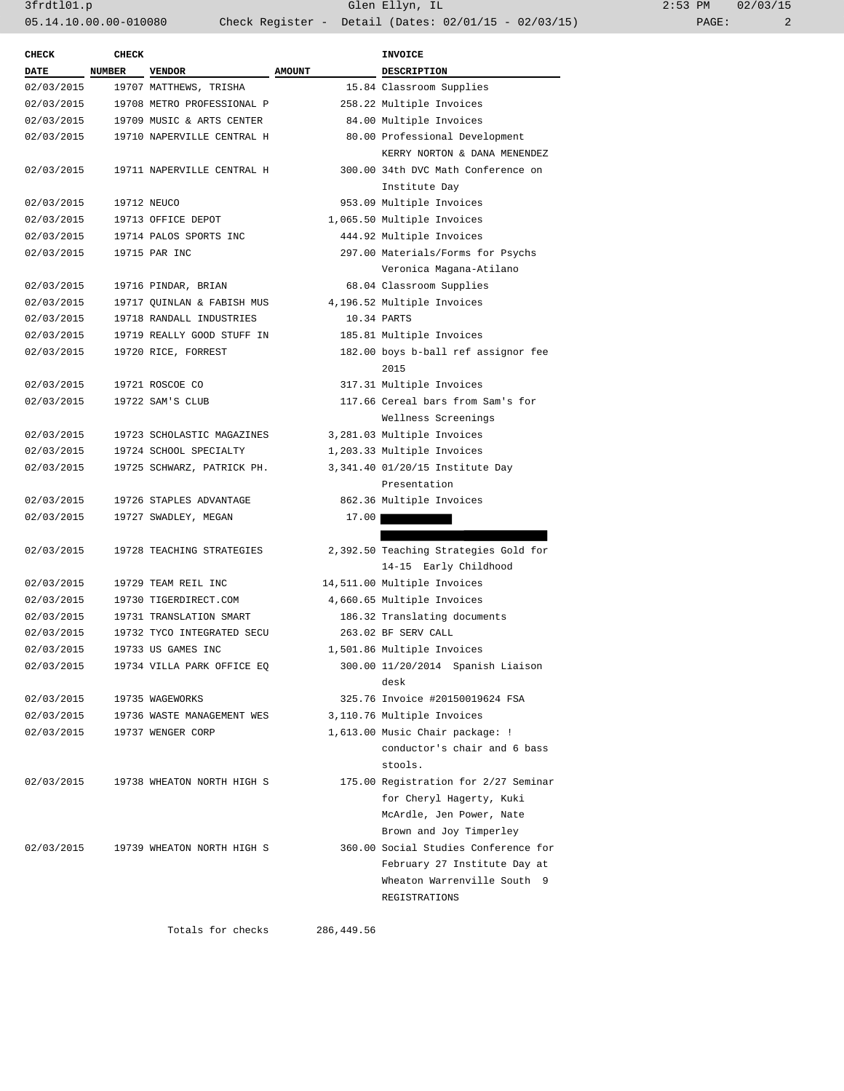| <b>CHECK</b> | <b>CHECK</b> |                                                        |               | <b>INVOICE</b>                        |  |
|--------------|--------------|--------------------------------------------------------|---------------|---------------------------------------|--|
| <b>DATE</b>  | NUMBER       | <b>VENDOR</b>                                          | <b>AMOUNT</b> | <b>DESCRIPTION</b>                    |  |
| 02/03/2015   |              | 19707 MATTHEWS, TRISHA                                 |               | 15.84 Classroom Supplies              |  |
| 02/03/2015   |              | 19708 METRO PROFESSIONAL P<br>258.22 Multiple Invoices |               |                                       |  |
| 02/03/2015   |              | 19709 MUSIC & ARTS CENTER                              |               | 84.00 Multiple Invoices               |  |
| 02/03/2015   |              | 19710 NAPERVILLE CENTRAL H                             |               | 80.00 Professional Development        |  |
|              |              |                                                        |               | KERRY NORTON & DANA MENENDEZ          |  |
| 02/03/2015   |              | 19711 NAPERVILLE CENTRAL H                             |               | 300.00 34th DVC Math Conference on    |  |
|              |              |                                                        |               | Institute Day                         |  |
| 02/03/2015   |              | 19712 NEUCO                                            |               | 953.09 Multiple Invoices              |  |
| 02/03/2015   |              | 19713 OFFICE DEPOT                                     |               | 1,065.50 Multiple Invoices            |  |
| 02/03/2015   |              | 19714 PALOS SPORTS INC                                 |               | 444.92 Multiple Invoices              |  |
| 02/03/2015   |              | 19715 PAR INC                                          |               | 297.00 Materials/Forms for Psychs     |  |
|              |              |                                                        |               | Veronica Magana-Atilano               |  |
| 02/03/2015   |              | 19716 PINDAR, BRIAN                                    |               | 68.04 Classroom Supplies              |  |
| 02/03/2015   |              | 19717 QUINLAN & FABISH MUS                             |               | 4,196.52 Multiple Invoices            |  |
| 02/03/2015   |              | 19718 RANDALL INDUSTRIES                               |               | 10.34 PARTS                           |  |
| 02/03/2015   |              | 19719 REALLY GOOD STUFF IN                             |               | 185.81 Multiple Invoices              |  |
| 02/03/2015   |              | 19720 RICE, FORREST                                    |               | 182.00 boys b-ball ref assignor fee   |  |
|              |              |                                                        |               | 2015                                  |  |
| 02/03/2015   |              | 19721 ROSCOE CO                                        |               | 317.31 Multiple Invoices              |  |
| 02/03/2015   |              | 19722 SAM'S CLUB                                       |               | 117.66 Cereal bars from Sam's for     |  |
|              |              |                                                        |               | Wellness Screenings                   |  |
| 02/03/2015   |              | 19723 SCHOLASTIC MAGAZINES                             |               | 3,281.03 Multiple Invoices            |  |
| 02/03/2015   |              | 19724 SCHOOL SPECIALTY                                 |               | 1,203.33 Multiple Invoices            |  |
| 02/03/2015   |              | 19725 SCHWARZ, PATRICK PH.                             |               | 3,341.40 01/20/15 Institute Day       |  |
|              |              |                                                        |               | Presentation                          |  |
| 02/03/2015   |              | 19726 STAPLES ADVANTAGE                                |               | 862.36 Multiple Invoices              |  |
| 02/03/2015   |              | 19727 SWADLEY, MEGAN                                   | 17.00         |                                       |  |
|              |              |                                                        |               |                                       |  |
| 02/03/2015   |              | 19728 TEACHING STRATEGIES                              |               | 2,392.50 Teaching Strategies Gold for |  |
|              |              |                                                        |               | 14-15 Early Childhood                 |  |
| 02/03/2015   |              | 19729 TEAM REIL INC                                    |               | 14,511.00 Multiple Invoices           |  |
| 02/03/2015   |              | 19730 TIGERDIRECT.COM                                  |               | 4,660.65 Multiple Invoices            |  |
| 02/03/2015   |              | 19731 TRANSLATION SMART                                |               | 186.32 Translating documents          |  |
| 02/03/2015   |              | 19732 TYCO INTEGRATED SECU                             |               | 263.02 BF SERV CALL                   |  |
| 02/03/2015   |              | 19733 US GAMES INC                                     |               | 1,501.86 Multiple Invoices            |  |
| 02/03/2015   |              | 19734 VILLA PARK OFFICE EQ                             |               | 300.00 11/20/2014 Spanish Liaison     |  |
|              |              |                                                        |               | desk                                  |  |
| 02/03/2015   |              | 19735 WAGEWORKS                                        |               | 325.76 Invoice #20150019624 FSA       |  |
| 02/03/2015   |              | 19736 WASTE MANAGEMENT WES                             |               | 3,110.76 Multiple Invoices            |  |
| 02/03/2015   |              | 19737 WENGER CORP                                      |               | 1,613.00 Music Chair package: !       |  |
|              |              |                                                        |               | conductor's chair and 6 bass          |  |
|              |              |                                                        |               | stools.                               |  |
| 02/03/2015   |              | 19738 WHEATON NORTH HIGH S                             |               | 175.00 Registration for 2/27 Seminar  |  |
|              |              |                                                        |               | for Cheryl Hagerty, Kuki              |  |
|              |              |                                                        |               | McArdle, Jen Power, Nate              |  |
|              |              |                                                        |               | Brown and Joy Timperley               |  |
| 02/03/2015   |              | 19739 WHEATON NORTH HIGH S                             |               | 360.00 Social Studies Conference for  |  |
|              |              |                                                        |               | February 27 Institute Day at          |  |
|              |              |                                                        |               | Wheaton Warrenville South 9           |  |
|              |              |                                                        |               | REGISTRATIONS                         |  |
|              |              |                                                        |               |                                       |  |

Totals for checks 286,449.56